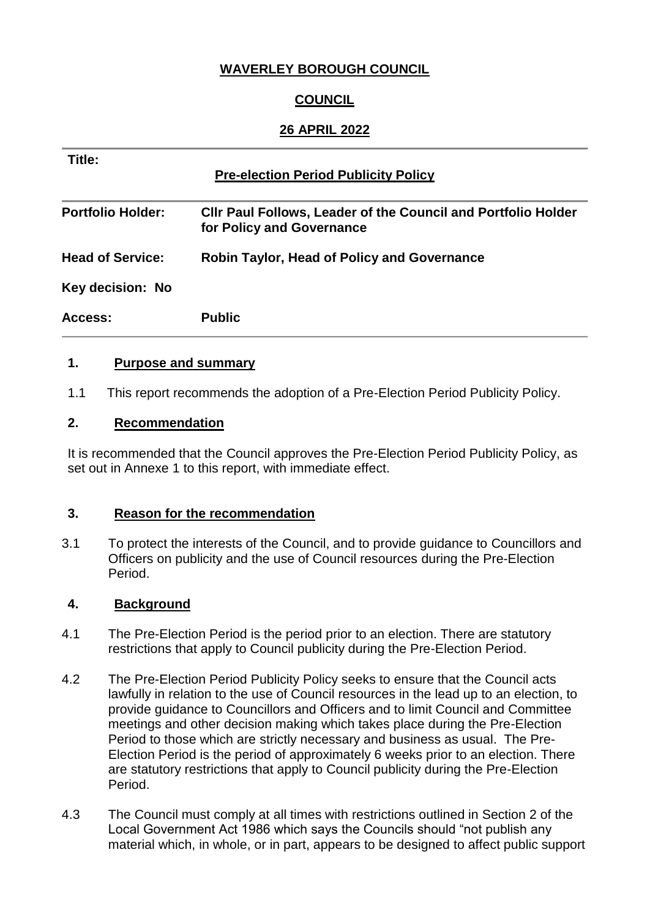## **WAVERLEY BOROUGH COUNCIL**

# **COUNCIL**

### **26 APRIL 2022**

| Title:<br><b>Pre-election Period Publicity Policy</b> |                                                                                            |
|-------------------------------------------------------|--------------------------------------------------------------------------------------------|
| <b>Portfolio Holder:</b>                              | Cllr Paul Follows, Leader of the Council and Portfolio Holder<br>for Policy and Governance |
| <b>Head of Service:</b>                               | <b>Robin Taylor, Head of Policy and Governance</b>                                         |
| Key decision: No                                      |                                                                                            |
| Access:                                               | <b>Public</b>                                                                              |

#### **1. Purpose and summary**

1.1 This report recommends the adoption of a Pre-Election Period Publicity Policy.

#### **2. Recommendation**

It is recommended that the Council approves the Pre-Election Period Publicity Policy, as set out in Annexe 1 to this report, with immediate effect.

#### **3. Reason for the recommendation**

3.1 To protect the interests of the Council, and to provide guidance to Councillors and Officers on publicity and the use of Council resources during the Pre-Election Period.

#### **4. Background**

- 4.1 The Pre-Election Period is the period prior to an election. There are statutory restrictions that apply to Council publicity during the Pre-Election Period.
- 4.2 The Pre-Election Period Publicity Policy seeks to ensure that the Council acts lawfully in relation to the use of Council resources in the lead up to an election, to provide guidance to Councillors and Officers and to limit Council and Committee meetings and other decision making which takes place during the Pre-Election Period to those which are strictly necessary and business as usual. The Pre-Election Period is the period of approximately 6 weeks prior to an election. There are statutory restrictions that apply to Council publicity during the Pre-Election Period.
- 4.3 The Council must comply at all times with restrictions outlined in Section 2 of the Local Government Act 1986 which says the Councils should "not publish any material which, in whole, or in part, appears to be designed to affect public support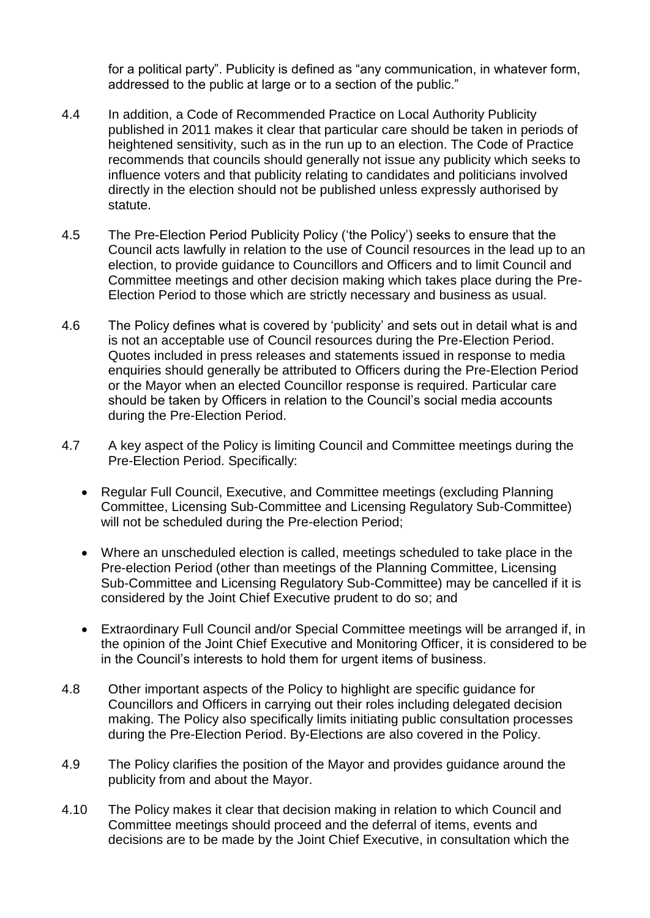for a political party". Publicity is defined as "any communication, in whatever form, addressed to the public at large or to a section of the public."

- 4.4 In addition, a Code of Recommended Practice on Local Authority Publicity published in 2011 makes it clear that particular care should be taken in periods of heightened sensitivity, such as in the run up to an election. The Code of Practice recommends that councils should generally not issue any publicity which seeks to influence voters and that publicity relating to candidates and politicians involved directly in the election should not be published unless expressly authorised by statute.
- 4.5 The Pre-Election Period Publicity Policy ('the Policy') seeks to ensure that the Council acts lawfully in relation to the use of Council resources in the lead up to an election, to provide guidance to Councillors and Officers and to limit Council and Committee meetings and other decision making which takes place during the Pre-Election Period to those which are strictly necessary and business as usual.
- 4.6 The Policy defines what is covered by 'publicity' and sets out in detail what is and is not an acceptable use of Council resources during the Pre-Election Period. Quotes included in press releases and statements issued in response to media enquiries should generally be attributed to Officers during the Pre-Election Period or the Mayor when an elected Councillor response is required. Particular care should be taken by Officers in relation to the Council's social media accounts during the Pre-Election Period.
- 4.7 A key aspect of the Policy is limiting Council and Committee meetings during the Pre-Election Period. Specifically:
	- Regular Full Council, Executive, and Committee meetings (excluding Planning Committee, Licensing Sub-Committee and Licensing Regulatory Sub-Committee) will not be scheduled during the Pre-election Period;
	- Where an unscheduled election is called, meetings scheduled to take place in the Pre-election Period (other than meetings of the Planning Committee, Licensing Sub-Committee and Licensing Regulatory Sub-Committee) may be cancelled if it is considered by the Joint Chief Executive prudent to do so; and
	- Extraordinary Full Council and/or Special Committee meetings will be arranged if, in the opinion of the Joint Chief Executive and Monitoring Officer, it is considered to be in the Council's interests to hold them for urgent items of business.
- 4.8 Other important aspects of the Policy to highlight are specific guidance for Councillors and Officers in carrying out their roles including delegated decision making. The Policy also specifically limits initiating public consultation processes during the Pre-Election Period. By-Elections are also covered in the Policy.
- 4.9 The Policy clarifies the position of the Mayor and provides guidance around the publicity from and about the Mayor.
- 4.10 The Policy makes it clear that decision making in relation to which Council and Committee meetings should proceed and the deferral of items, events and decisions are to be made by the Joint Chief Executive, in consultation which the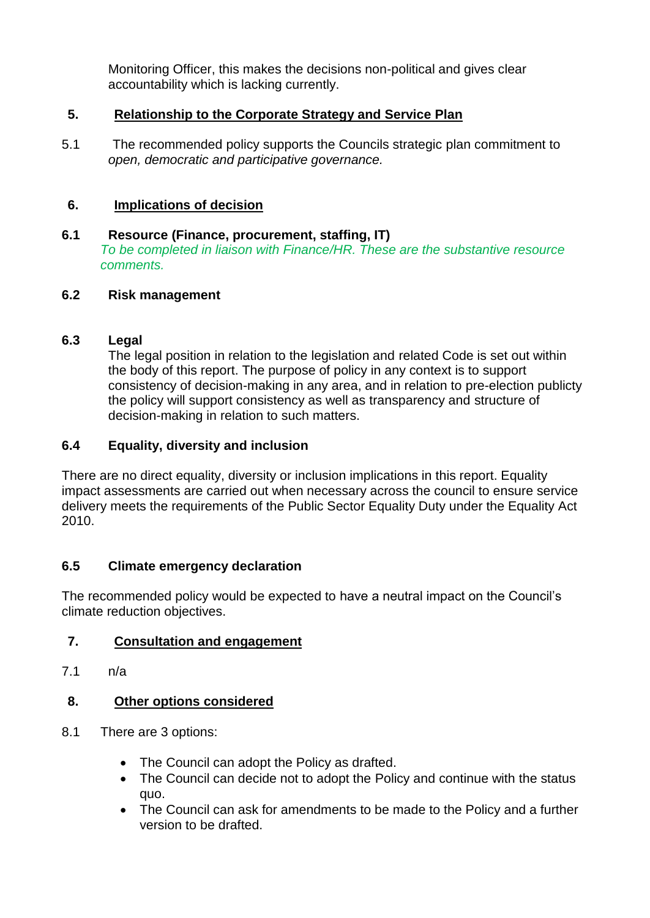Monitoring Officer, this makes the decisions non-political and gives clear accountability which is lacking currently.

## **5. Relationship to the Corporate Strategy and Service Plan**

5.1 The recommended policy supports the Councils strategic plan commitment to *open, democratic and participative governance.* 

## **6. Implications of decision**

### **6.1 Resource (Finance, procurement, staffing, IT)** *To be completed in liaison with Finance/HR. These are the substantive resource comments.*

## **6.2 Risk management**

## **6.3 Legal**

The legal position in relation to the legislation and related Code is set out within the body of this report. The purpose of policy in any context is to support consistency of decision-making in any area, and in relation to pre-election publicty the policy will support consistency as well as transparency and structure of decision-making in relation to such matters.

## **6.4 Equality, diversity and inclusion**

There are no direct equality, diversity or inclusion implications in this report. Equality impact assessments are carried out when necessary across the council to ensure service delivery meets the requirements of the Public Sector Equality Duty under the Equality Act 2010.

# **6.5 Climate emergency declaration**

The recommended policy would be expected to have a neutral impact on the Council's climate reduction objectives.

# **7. Consultation and engagement**

7.1 n/a

# **8. Other options considered**

- 8.1 There are 3 options:
	- The Council can adopt the Policy as drafted.
	- The Council can decide not to adopt the Policy and continue with the status quo.
	- The Council can ask for amendments to be made to the Policy and a further version to be drafted.